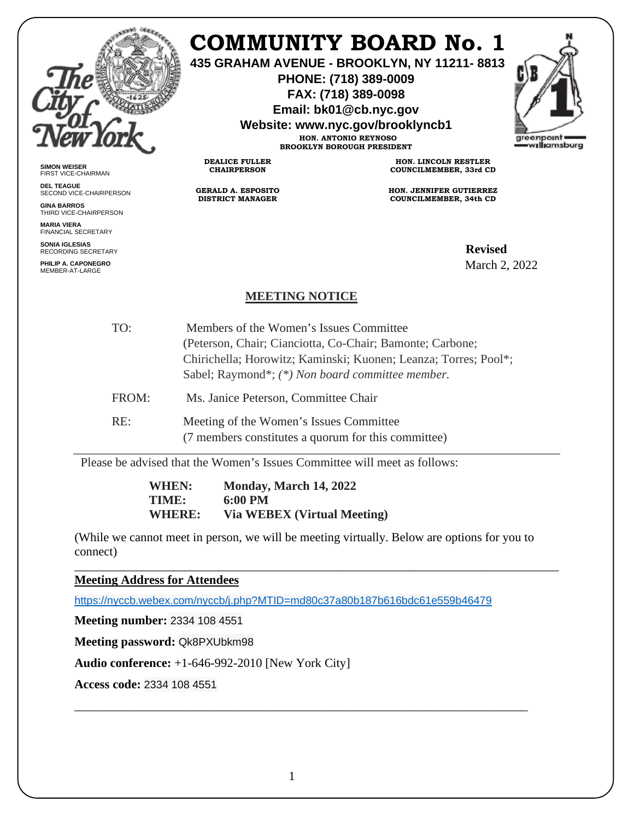

**SIMON WEISER** FIRST VICE-CHAIRMAN **DEL TEAGUE**

**GINA BARROS** THIRD VICE-CHAIRPERSON

**MARIA VIERA** FINANCIAL SECRETARY **SONIA IGLESIAS** RECORDING SECRETARY **PHILIP A. CAPONEGRO** MEMBER-AT-LARGE

SECOND VICE-CHAIRPERSON

## **COMMUNITY BOARD No. 1**

**435 GRAHAM AVENUE - BROOKLYN, NY 11211- 8813**

**PHONE: (718) 389-0009 FAX: (718) 389-0098**

**Email: bk01@cb.nyc.gov**

**Website: www.nyc.gov/brooklyncb1**

**HON. ANTONIO REYNOSO BROOKLYN BOROUGH PRESIDENT**

**DEALICE FULLER CHAIRPERSON**

**GERALD A. ESPOSITO DISTRICT MANAGER**

**HON. LINCOLN RESTLER COUNCILMEMBER, 33rd CD**

**HON. JENNIFER GUTIERREZ COUNCILMEMBER, 34th CD**

**Revised**<br>G SECRETARY March 2, 2022

## **MEETING NOTICE**

| TO:   | Members of the Women's Issues Committee                         |
|-------|-----------------------------------------------------------------|
|       | (Peterson, Chair; Cianciotta, Co-Chair; Bamonte; Carbone;       |
|       | Chirichella; Horowitz; Kaminski; Kuonen; Leanza; Torres; Pool*; |
|       | Sabel; Raymond*; (*) Non board committee member.                |
| FROM: | Ms. Janice Peterson, Committee Chair                            |
| RE:   | Meeting of the Women's Issues Committee                         |
|       | (7 members constitutes a quorum for this committee)             |

Please be advised that the Women's Issues Committee will meet as follows:

**WHEN: Monday, March 14, 2022 TIME: 6:00 PM WHERE: Via WEBEX (Virtual Meeting)** 

(While we cannot meet in person, we will be meeting virtually. Below are options for you to connect)

\_\_\_\_\_\_\_\_\_\_\_\_\_\_\_\_\_\_\_\_\_\_\_\_\_\_\_\_\_\_\_\_\_\_\_\_\_\_\_\_\_\_\_\_\_\_\_\_\_\_\_\_\_\_\_\_\_\_\_\_\_\_\_\_\_\_\_\_\_\_\_\_\_\_\_\_\_\_

**Meeting Address for Attendees** 

<https://nyccb.webex.com/nyccb/j.php?MTID=md80c37a80b187b616bdc61e559b46479>

**Meeting number:** 2334 108 4551

**Meeting password:** Qk8PXUbkm98

**Audio conference:** +1-646-992-2010 [New York City]

**Access code:** 2334 108 4551

\_\_\_\_\_\_\_\_\_\_\_\_\_\_\_\_\_\_\_\_\_\_\_\_\_\_\_\_\_\_\_\_\_\_\_\_\_\_\_\_\_\_\_\_\_\_\_\_\_\_\_\_\_\_\_\_\_\_\_\_\_\_\_\_\_\_\_\_\_\_\_\_\_